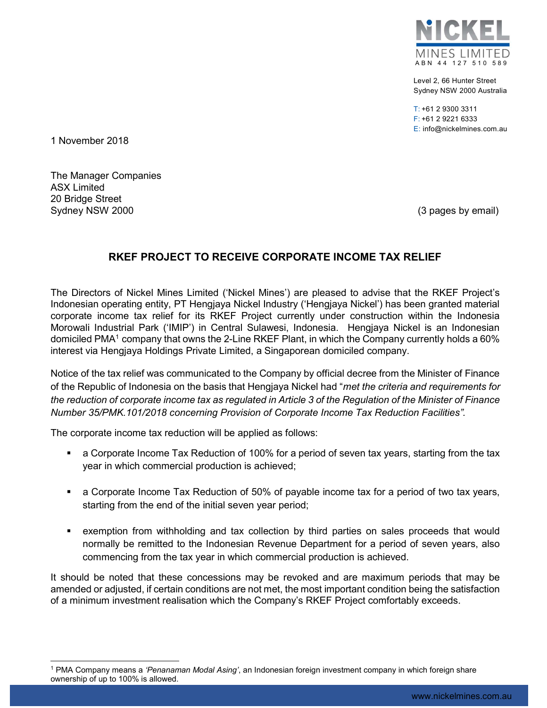

Level 2, 66 Hunter Street Sydney NSW 2000 Australia

T: +61 2 9300 3311 F: +61 2 9221 6333 E: info@nickelmines.com.au

1 November 2018

The Manager Companies ASX Limited 20 Bridge Street Sydney NSW 2000 (3 pages by email)

## RKEF PROJECT TO RECEIVE CORPORATE INCOME TAX RELIEF

The Directors of Nickel Mines Limited ('Nickel Mines') are pleased to advise that the RKEF Project's Indonesian operating entity, PT Hengjaya Nickel Industry ('Hengjaya Nickel') has been granted material corporate income tax relief for its RKEF Project currently under construction within the Indonesia Morowali Industrial Park ('IMIP') in Central Sulawesi, Indonesia. Hengjaya Nickel is an Indonesian domiciled PMA<sup>1</sup> company that owns the 2-Line RKEF Plant, in which the Company currently holds a 60% interest via Hengjaya Holdings Private Limited, a Singaporean domiciled company.

Notice of the tax relief was communicated to the Company by official decree from the Minister of Finance of the Republic of Indonesia on the basis that Hengjaya Nickel had "met the criteria and requirements for the reduction of corporate income tax as regulated in Article 3 of the Regulation of the Minister of Finance Number 35/PMK.101/2018 concerning Provision of Corporate Income Tax Reduction Facilities".

The corporate income tax reduction will be applied as follows:

- a Corporate Income Tax Reduction of 100% for a period of seven tax years, starting from the tax year in which commercial production is achieved;
- a Corporate Income Tax Reduction of 50% of payable income tax for a period of two tax years, starting from the end of the initial seven year period;
- exemption from withholding and tax collection by third parties on sales proceeds that would normally be remitted to the Indonesian Revenue Department for a period of seven years, also commencing from the tax year in which commercial production is achieved.

It should be noted that these concessions may be revoked and are maximum periods that may be amended or adjusted, if certain conditions are not met, the most important condition being the satisfaction of a minimum investment realisation which the Company's RKEF Project comfortably exceeds.

 <sup>1</sup> PMA Company means a *'Penanaman Modal Asing'*, an Indonesian foreign investment company in which foreign share ownership of up to 100% is allowed.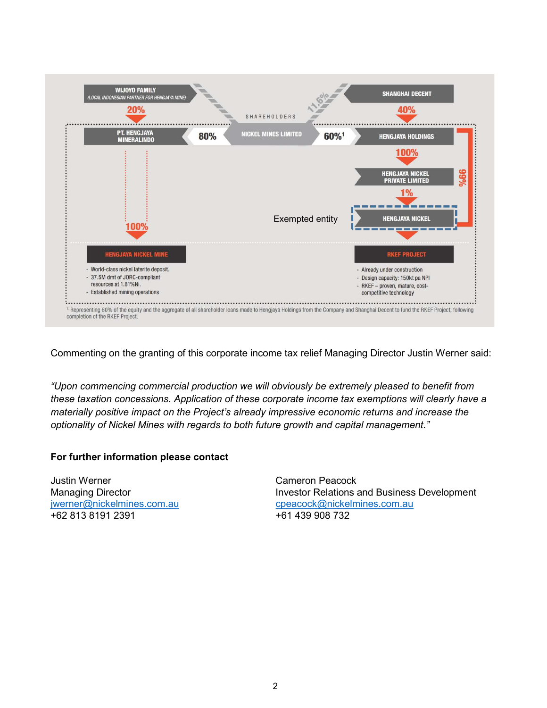

Commenting on the granting of this corporate income tax relief Managing Director Justin Werner said:

"Upon commencing commercial production we will obviously be extremely pleased to benefit from these taxation concessions. Application of these corporate income tax exemptions will clearly have a materially positive impact on the Project's already impressive economic returns and increase the optionality of Nickel Mines with regards to both future growth and capital management."

## For further information please contact

Justin Werner Cameron Peacock +62 813 8191 2391 +61 439 908 732

Managing Director **Investor Relations and Business Development** jwerner@nickelmines.com.au cpeacock@nickelmines.com.au